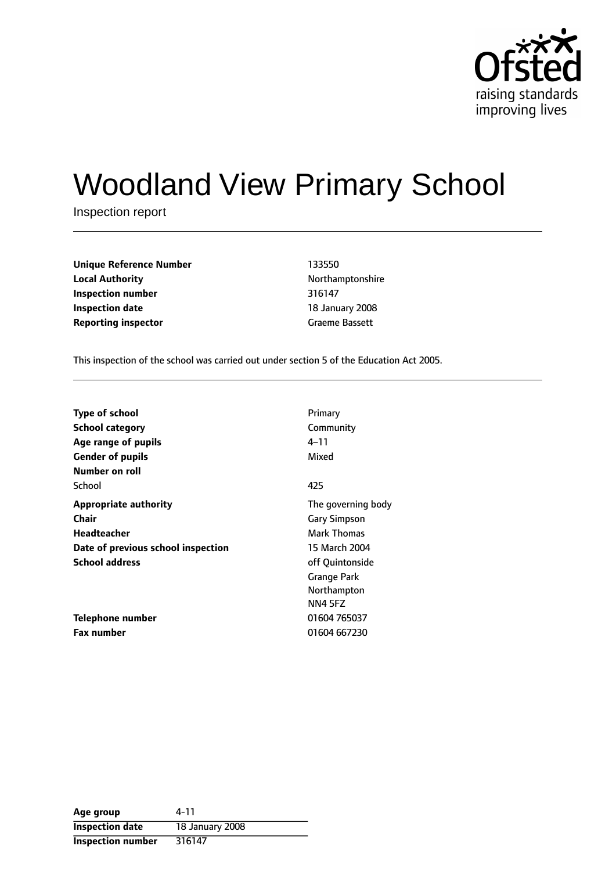

# Woodland View Primary School

Inspection report

| <b>Unique Reference Number</b> | 133550          |
|--------------------------------|-----------------|
| <b>Local Authority</b>         | Northamptonshi  |
| Inspection number              | 316147          |
| <b>Inspection date</b>         | 18 January 2008 |
| <b>Reporting inspector</b>     | Graeme Bassett  |

**Unique Reference Number** 133550 **Local Authority** Northamptonshire **Inspection number** 316147 **Inspection date** 18 January 2008

This inspection of the school was carried out under section 5 of the Education Act 2005.

| <b>Type of school</b>              | Primary             |
|------------------------------------|---------------------|
| <b>School category</b>             | Community           |
| Age range of pupils                | 4–11                |
| <b>Gender of pupils</b>            | Mixed               |
| Number on roll                     |                     |
| School                             | 425                 |
| <b>Appropriate authority</b>       | The governing body  |
| <b>Chair</b>                       | <b>Gary Simpson</b> |
| Headteacher                        | <b>Mark Thomas</b>  |
| Date of previous school inspection | 15 March 2004       |
| <b>School address</b>              | off Quintonside     |
|                                    | <b>Grange Park</b>  |
|                                    | Northampton         |
|                                    | NN4 5FZ             |
| Telephone number                   | 01604 765037        |
| <b>Fax number</b>                  | 01604 667230        |

| Age group                | 4-11            |
|--------------------------|-----------------|
| <b>Inspection date</b>   | 18 January 2008 |
| <b>Inspection number</b> | 316147          |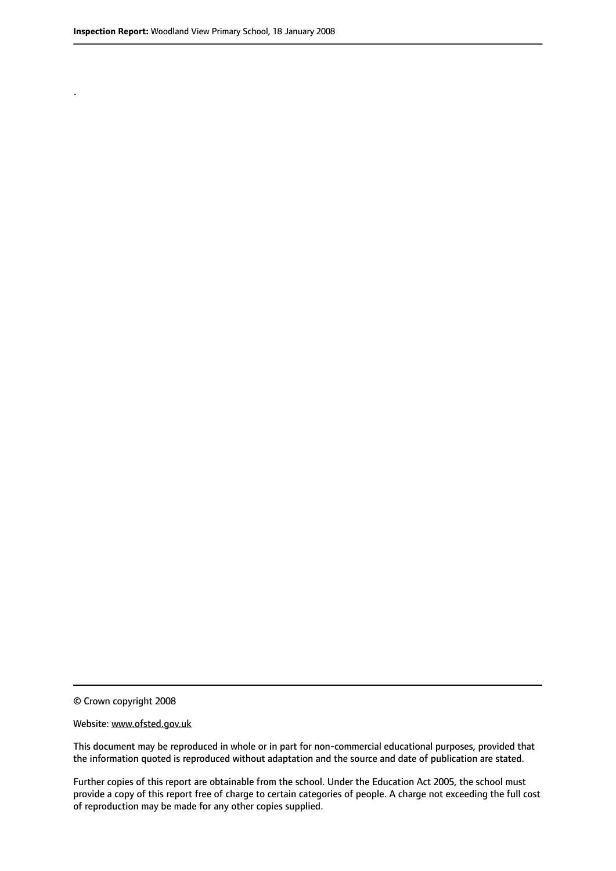.

© Crown copyright 2008

#### Website: www.ofsted.gov.uk

This document may be reproduced in whole or in part for non-commercial educational purposes, provided that the information quoted is reproduced without adaptation and the source and date of publication are stated.

Further copies of this report are obtainable from the school. Under the Education Act 2005, the school must provide a copy of this report free of charge to certain categories of people. A charge not exceeding the full cost of reproduction may be made for any other copies supplied.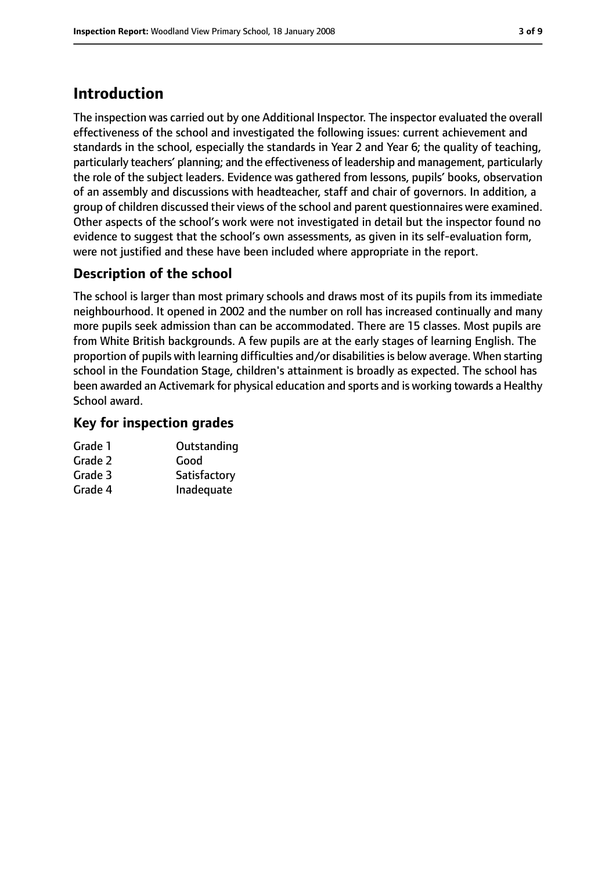## **Introduction**

The inspection was carried out by one Additional Inspector. The inspector evaluated the overall effectiveness of the school and investigated the following issues: current achievement and standards in the school, especially the standards in Year 2 and Year 6; the quality of teaching, particularly teachers' planning; and the effectiveness of leadership and management, particularly the role of the subject leaders. Evidence was gathered from lessons, pupils' books, observation of an assembly and discussions with headteacher, staff and chair of governors. In addition, a group of children discussed their views of the school and parent questionnaires were examined. Other aspects of the school's work were not investigated in detail but the inspector found no evidence to suggest that the school's own assessments, as given in its self-evaluation form, were not justified and these have been included where appropriate in the report.

### **Description of the school**

The school is larger than most primary schools and draws most of its pupils from its immediate neighbourhood. It opened in 2002 and the number on roll has increased continually and many more pupils seek admission than can be accommodated. There are 15 classes. Most pupils are from White British backgrounds. A few pupils are at the early stages of learning English. The proportion of pupils with learning difficulties and/or disabilities is below average. When starting school in the Foundation Stage, children's attainment is broadly as expected. The school has been awarded an Activemark for physical education and sports and is working towards a Healthy School award.

#### **Key for inspection grades**

| Grade 1 | Outstanding  |
|---------|--------------|
| Grade 2 | Good         |
| Grade 3 | Satisfactory |
| Grade 4 | Inadequate   |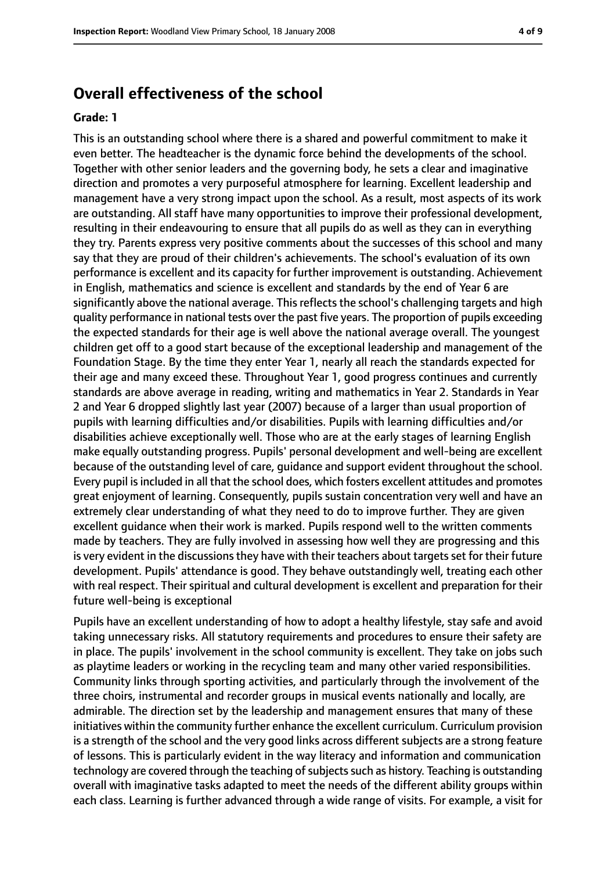## **Overall effectiveness of the school**

#### **Grade: 1**

This is an outstanding school where there is a shared and powerful commitment to make it even better. The headteacher is the dynamic force behind the developments of the school. Together with other senior leaders and the governing body, he sets a clear and imaginative direction and promotes a very purposeful atmosphere for learning. Excellent leadership and management have a very strong impact upon the school. As a result, most aspects of its work are outstanding. All staff have many opportunities to improve their professional development, resulting in their endeavouring to ensure that all pupils do as well as they can in everything they try. Parents express very positive comments about the successes of this school and many say that they are proud of their children's achievements. The school's evaluation of its own performance is excellent and its capacity for further improvement is outstanding. Achievement in English, mathematics and science is excellent and standards by the end of Year 6 are significantly above the national average. This reflects the school's challenging targets and high quality performance in national tests over the past five years. The proportion of pupils exceeding the expected standards for their age is well above the national average overall. The youngest children get off to a good start because of the exceptional leadership and management of the Foundation Stage. By the time they enter Year 1, nearly all reach the standards expected for their age and many exceed these. Throughout Year 1, good progress continues and currently standards are above average in reading, writing and mathematics in Year 2. Standards in Year 2 and Year 6 dropped slightly last year (2007) because of a larger than usual proportion of pupils with learning difficulties and/or disabilities. Pupils with learning difficulties and/or disabilities achieve exceptionally well. Those who are at the early stages of learning English make equally outstanding progress. Pupils' personal development and well-being are excellent because of the outstanding level of care, guidance and support evident throughout the school. Every pupil is included in all that the school does, which fosters excellent attitudes and promotes great enjoyment of learning. Consequently, pupils sustain concentration very well and have an extremely clear understanding of what they need to do to improve further. They are given excellent guidance when their work is marked. Pupils respond well to the written comments made by teachers. They are fully involved in assessing how well they are progressing and this is very evident in the discussions they have with their teachers about targets set for their future development. Pupils' attendance is good. They behave outstandingly well, treating each other with real respect. Their spiritual and cultural development is excellent and preparation for their future well-being is exceptional

Pupils have an excellent understanding of how to adopt a healthy lifestyle, stay safe and avoid taking unnecessary risks. All statutory requirements and procedures to ensure their safety are in place. The pupils' involvement in the school community is excellent. They take on jobs such as playtime leaders or working in the recycling team and many other varied responsibilities. Community links through sporting activities, and particularly through the involvement of the three choirs, instrumental and recorder groups in musical events nationally and locally, are admirable. The direction set by the leadership and management ensures that many of these initiatives within the community further enhance the excellent curriculum. Curriculum provision is a strength of the school and the very good links across different subjects are a strong feature of lessons. This is particularly evident in the way literacy and information and communication technology are covered through the teaching of subjects such as history. Teaching is outstanding overall with imaginative tasks adapted to meet the needs of the different ability groups within each class. Learning is further advanced through a wide range of visits. For example, a visit for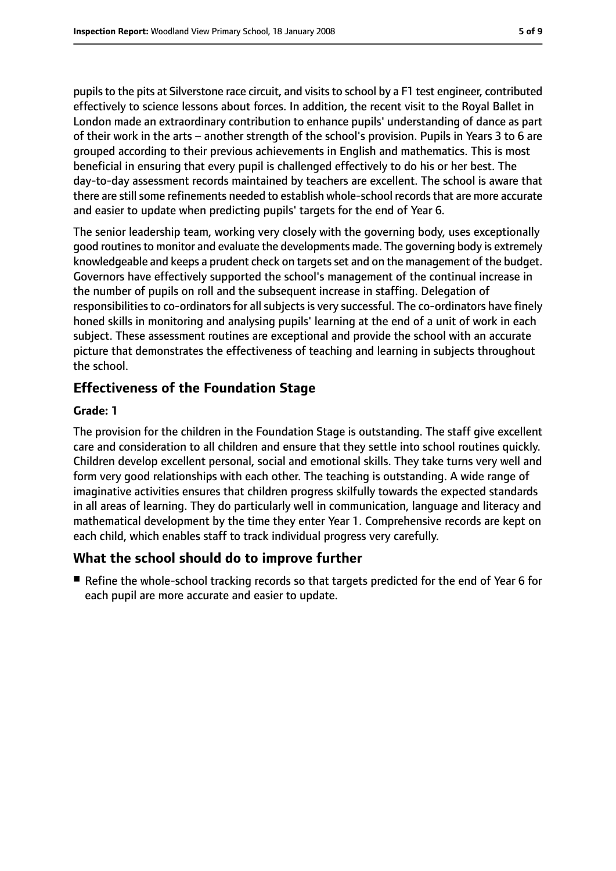pupils to the pits at Silverstone race circuit, and visits to school by a F1 test engineer, contributed effectively to science lessons about forces. In addition, the recent visit to the Royal Ballet in London made an extraordinary contribution to enhance pupils' understanding of dance as part of their work in the arts – another strength of the school's provision. Pupils in Years 3 to 6 are grouped according to their previous achievements in English and mathematics. This is most beneficial in ensuring that every pupil is challenged effectively to do his or her best. The day-to-day assessment records maintained by teachers are excellent. The school is aware that there are still some refinements needed to establish whole-school records that are more accurate and easier to update when predicting pupils' targets for the end of Year 6.

The senior leadership team, working very closely with the governing body, uses exceptionally good routines to monitor and evaluate the developments made. The governing body is extremely knowledgeable and keeps a prudent check on targets set and on the management of the budget. Governors have effectively supported the school's management of the continual increase in the number of pupils on roll and the subsequent increase in staffing. Delegation of responsibilities to co-ordinators for all subjects is very successful. The co-ordinators have finely honed skills in monitoring and analysing pupils' learning at the end of a unit of work in each subject. These assessment routines are exceptional and provide the school with an accurate picture that demonstrates the effectiveness of teaching and learning in subjects throughout the school.

### **Effectiveness of the Foundation Stage**

#### **Grade: 1**

The provision for the children in the Foundation Stage is outstanding. The staff give excellent care and consideration to all children and ensure that they settle into school routines quickly. Children develop excellent personal, social and emotional skills. They take turns very well and form very good relationships with each other. The teaching is outstanding. A wide range of imaginative activities ensures that children progress skilfully towards the expected standards in all areas of learning. They do particularly well in communication, language and literacy and mathematical development by the time they enter Year 1. Comprehensive records are kept on each child, which enables staff to track individual progress very carefully.

#### **What the school should do to improve further**

■ Refine the whole-school tracking records so that targets predicted for the end of Year 6 for each pupil are more accurate and easier to update.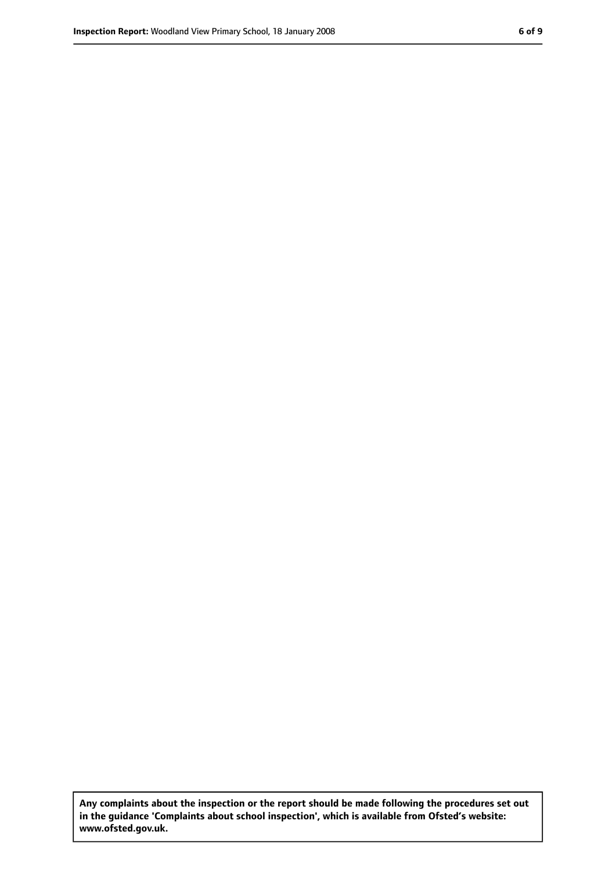**Any complaints about the inspection or the report should be made following the procedures set out in the guidance 'Complaints about school inspection', which is available from Ofsted's website: www.ofsted.gov.uk.**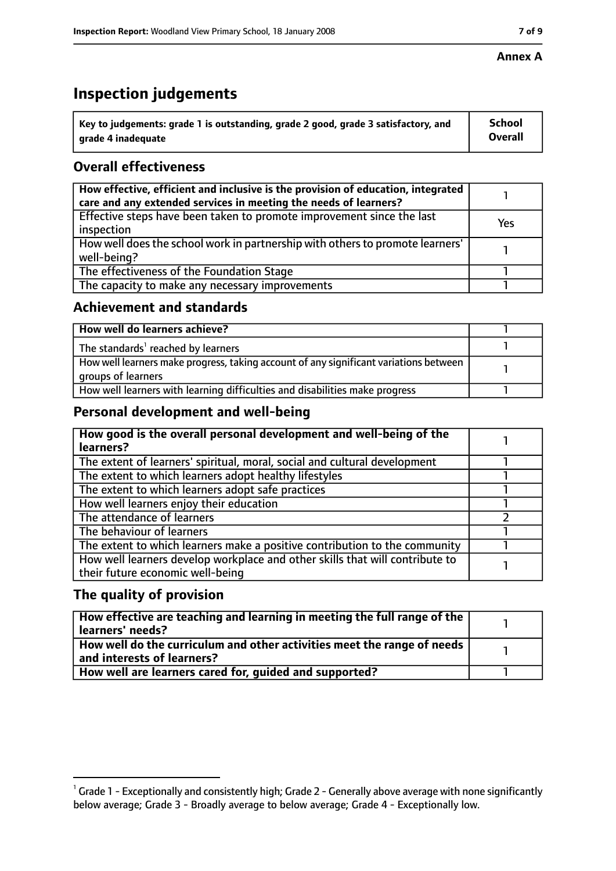# **Inspection judgements**

| $^\mathrm{!}$ Key to judgements: grade 1 is outstanding, grade 2 good, grade 3 satisfactory, and | School  |
|--------------------------------------------------------------------------------------------------|---------|
| grade 4 inadequate                                                                               | Overall |

## **Overall effectiveness**

| How effective, efficient and inclusive is the provision of education, integrated<br>care and any extended services in meeting the needs of learners? |     |
|------------------------------------------------------------------------------------------------------------------------------------------------------|-----|
| Effective steps have been taken to promote improvement since the last<br>inspection                                                                  | Yes |
| How well does the school work in partnership with others to promote learners'<br>well-being?                                                         |     |
| The effectiveness of the Foundation Stage                                                                                                            |     |
| The capacity to make any necessary improvements                                                                                                      |     |

#### **Achievement and standards**

| How well do learners achieve?                                                                               |  |
|-------------------------------------------------------------------------------------------------------------|--|
| The standards <sup>1</sup> reached by learners                                                              |  |
| How well learners make progress, taking account of any significant variations between<br>groups of learners |  |
| How well learners with learning difficulties and disabilities make progress                                 |  |

## **Personal development and well-being**

| How good is the overall personal development and well-being of the<br>learners?                                  |  |
|------------------------------------------------------------------------------------------------------------------|--|
| The extent of learners' spiritual, moral, social and cultural development                                        |  |
| The extent to which learners adopt healthy lifestyles                                                            |  |
| The extent to which learners adopt safe practices                                                                |  |
| How well learners enjoy their education                                                                          |  |
| The attendance of learners                                                                                       |  |
| The behaviour of learners                                                                                        |  |
| The extent to which learners make a positive contribution to the community                                       |  |
| How well learners develop workplace and other skills that will contribute to<br>their future economic well-being |  |

## **The quality of provision**

| How effective are teaching and learning in meeting the full range of the<br>learners' needs?          |  |
|-------------------------------------------------------------------------------------------------------|--|
| How well do the curriculum and other activities meet the range of needs<br>and interests of learners? |  |
| How well are learners cared for, quided and supported?                                                |  |

 $^1$  Grade 1 - Exceptionally and consistently high; Grade 2 - Generally above average with none significantly below average; Grade 3 - Broadly average to below average; Grade 4 - Exceptionally low.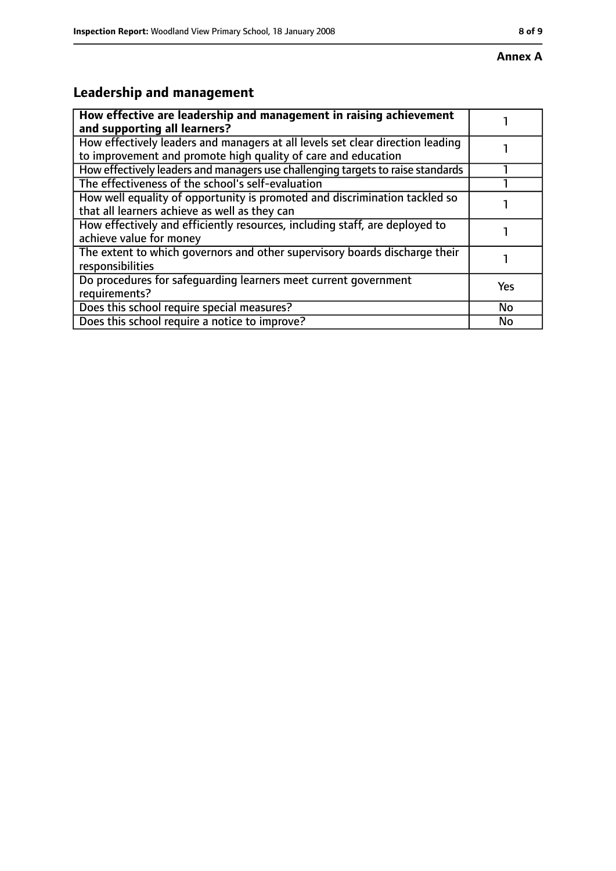#### **Annex A**

# **Leadership and management**

| How effective are leadership and management in raising achievement<br>and supporting all learners?                                              |     |
|-------------------------------------------------------------------------------------------------------------------------------------------------|-----|
| How effectively leaders and managers at all levels set clear direction leading<br>to improvement and promote high quality of care and education |     |
| How effectively leaders and managers use challenging targets to raise standards                                                                 |     |
| The effectiveness of the school's self-evaluation                                                                                               |     |
| How well equality of opportunity is promoted and discrimination tackled so<br>that all learners achieve as well as they can                     |     |
| How effectively and efficiently resources, including staff, are deployed to<br>achieve value for money                                          |     |
| The extent to which governors and other supervisory boards discharge their<br>responsibilities                                                  |     |
| Do procedures for safequarding learners meet current government<br>requirements?                                                                | Yes |
| Does this school require special measures?                                                                                                      | No  |
| Does this school require a notice to improve?                                                                                                   | No  |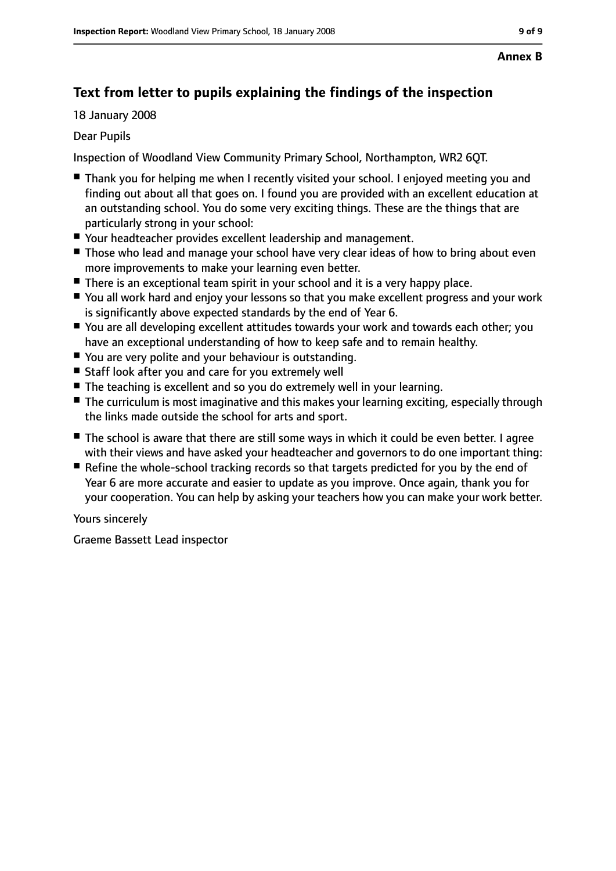## **Text from letter to pupils explaining the findings of the inspection**

18 January 2008

#### Dear Pupils

Inspection of Woodland View Community Primary School, Northampton, WR2 6QT.

- Thank you for helping me when I recently visited your school. I enioved meeting you and finding out about all that goes on. I found you are provided with an excellent education at an outstanding school. You do some very exciting things. These are the things that are particularly strong in your school:
- Your headteacher provides excellent leadership and management.
- Those who lead and manage your school have very clear ideas of how to bring about even more improvements to make your learning even better.
- There is an exceptional team spirit in your school and it is a very happy place.
- You all work hard and enjoy your lessons so that you make excellent progress and your work is significantly above expected standards by the end of Year 6.
- You are all developing excellent attitudes towards your work and towards each other; you have an exceptional understanding of how to keep safe and to remain healthy.
- You are very polite and your behaviour is outstanding.
- Staff look after you and care for you extremely well
- The teaching is excellent and so you do extremely well in your learning.
- The curriculum is most imaginative and this makes your learning exciting, especially through the links made outside the school for arts and sport.
- The school is aware that there are still some ways in which it could be even better. I agree with their views and have asked your headteacher and governors to do one important thing:
- Refine the whole-school tracking records so that targets predicted for you by the end of Year 6 are more accurate and easier to update as you improve. Once again, thank you for your cooperation. You can help by asking your teachers how you can make your work better.

#### Yours sincerely

Graeme Bassett Lead inspector